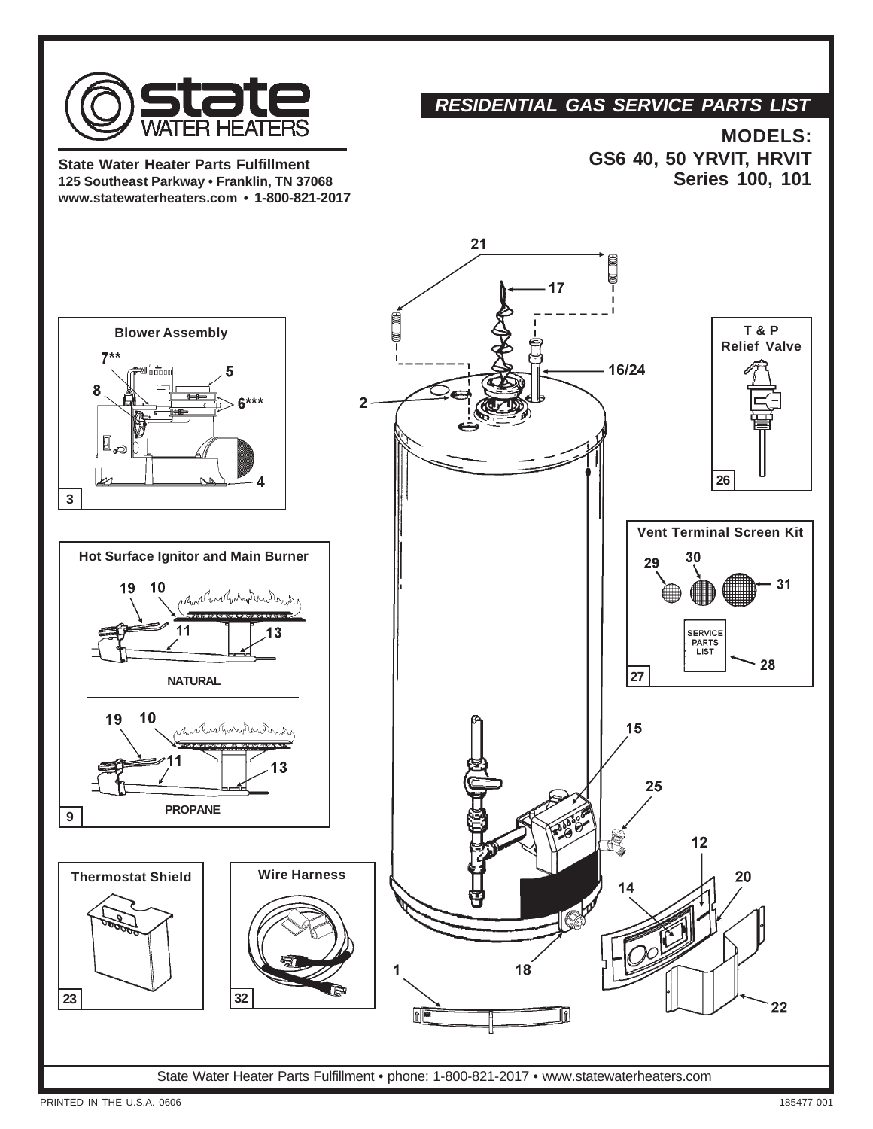

**State Water Heater Parts Fulfillment 125 Southeast Parkway • Franklin, TN 37068 www.statewaterheaters.com • 1-800-821-2017**

## *RESIDENTIAL GAS SERVICE PARTS LIST*

**MODELS: GS6 40, 50 YRVIT, HRVIT Series 100, 101**



**PRINTED IN THE U.S.A. 0606** 185477-001